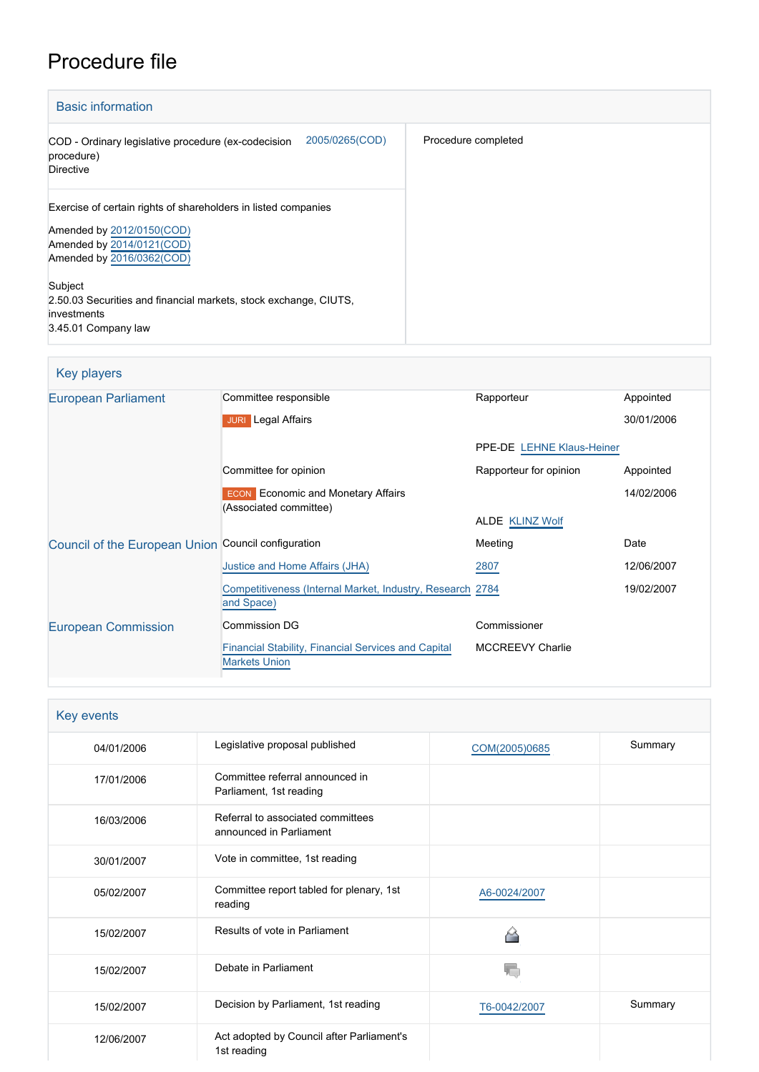# Procedure file

| <b>Basic information</b>                                                                                                                              |                     |
|-------------------------------------------------------------------------------------------------------------------------------------------------------|---------------------|
| 2005/0265(COD)<br>COD - Ordinary legislative procedure (ex-codecision<br>procedure)<br><b>Directive</b>                                               | Procedure completed |
| Exercise of certain rights of shareholders in listed companies<br>Amended by 2012/0150(COD)<br>Amended by 2014/0121(COD)<br>Amended by 2016/0362(COD) |                     |
| Subject<br>2.50.03 Securities and financial markets, stock exchange, CIUTS,<br>investments<br>3.45.01 Company law                                     |                     |

| Key players |
|-------------|
|-------------|

| European Parliament                                 | Committee responsible                                                              | Rapporteur                | Appointed  |
|-----------------------------------------------------|------------------------------------------------------------------------------------|---------------------------|------------|
|                                                     | <b>Legal Affairs</b><br><b>JURI</b>                                                |                           | 30/01/2006 |
|                                                     |                                                                                    | PPE-DE LEHNE Klaus-Heiner |            |
|                                                     | Committee for opinion                                                              | Rapporteur for opinion    | Appointed  |
|                                                     | <b>ECON</b> Economic and Monetary Affairs<br>(Associated committee)                |                           | 14/02/2006 |
|                                                     |                                                                                    | <b>ALDE KLINZ Wolf</b>    |            |
| Council of the European Union Council configuration |                                                                                    | Meeting                   | Date       |
|                                                     | Justice and Home Affairs (JHA)                                                     | 2807                      | 12/06/2007 |
|                                                     | Competitiveness (Internal Market, Industry, Research 2784<br>and Space)            |                           | 19/02/2007 |
| <b>European Commission</b>                          | <b>Commission DG</b>                                                               | Commissioner              |            |
|                                                     | <b>Financial Stability, Financial Services and Capital</b><br><b>Markets Union</b> | <b>MCCREEVY Charlie</b>   |            |

| Key events |                                                              |               |         |  |
|------------|--------------------------------------------------------------|---------------|---------|--|
| 04/01/2006 | Legislative proposal published                               | COM(2005)0685 | Summary |  |
| 17/01/2006 | Committee referral announced in<br>Parliament, 1st reading   |               |         |  |
| 16/03/2006 | Referral to associated committees<br>announced in Parliament |               |         |  |
| 30/01/2007 | Vote in committee, 1st reading                               |               |         |  |
| 05/02/2007 | Committee report tabled for plenary, 1st<br>reading          | A6-0024/2007  |         |  |
| 15/02/2007 | Results of vote in Parliament                                |               |         |  |
| 15/02/2007 | Debate in Parliament                                         | 岩             |         |  |
| 15/02/2007 | Decision by Parliament, 1st reading                          | T6-0042/2007  | Summary |  |
| 12/06/2007 | Act adopted by Council after Parliament's<br>1st reading     |               |         |  |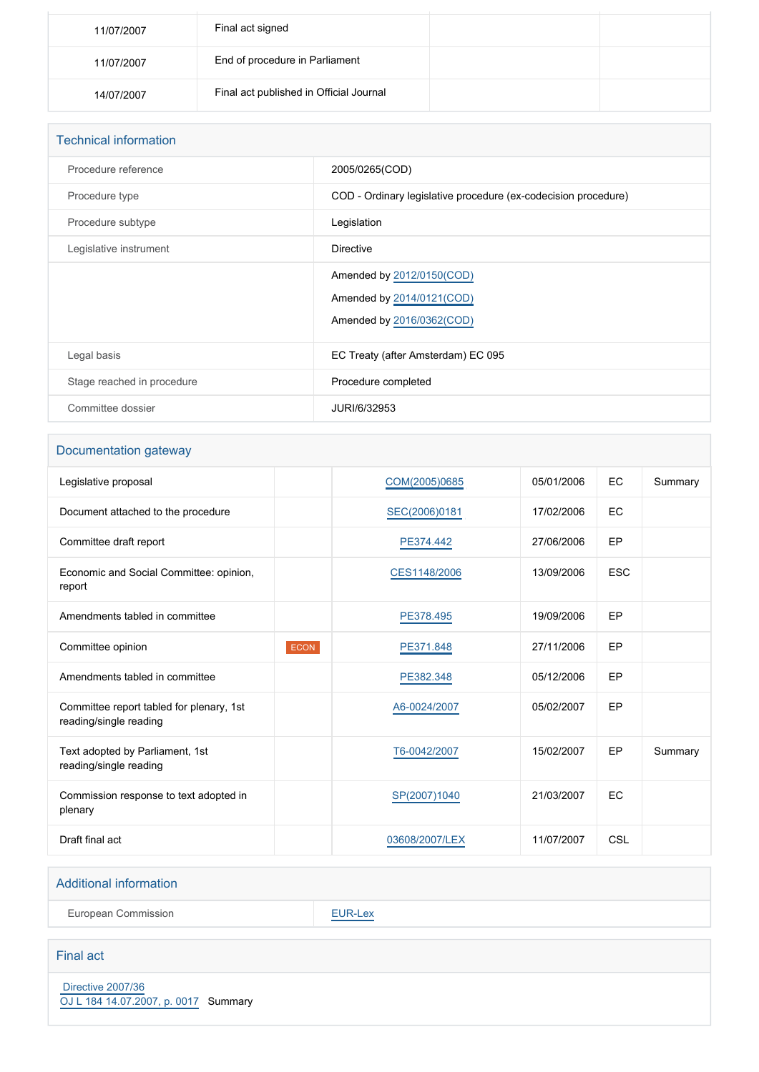| 11/07/2007 | Final act signed                        |  |
|------------|-----------------------------------------|--|
| 11/07/2007 | End of procedure in Parliament          |  |
| 14/07/2007 | Final act published in Official Journal |  |

| <b>Technical information</b> |                                                                                     |  |  |
|------------------------------|-------------------------------------------------------------------------------------|--|--|
| Procedure reference          | 2005/0265(COD)                                                                      |  |  |
| Procedure type               | COD - Ordinary legislative procedure (ex-codecision procedure)                      |  |  |
| Procedure subtype            | Legislation                                                                         |  |  |
| Legislative instrument       | <b>Directive</b>                                                                    |  |  |
|                              | Amended by 2012/0150(COD)<br>Amended by 2014/0121(COD)<br>Amended by 2016/0362(COD) |  |  |
| Legal basis                  | EC Treaty (after Amsterdam) EC 095                                                  |  |  |
| Stage reached in procedure   | Procedure completed                                                                 |  |  |
| Committee dossier            | JURI/6/32953                                                                        |  |  |

# Documentation gateway

| Legislative proposal                                               |      | COM(2005)0685  | 05/01/2006 | EC         | Summary |
|--------------------------------------------------------------------|------|----------------|------------|------------|---------|
| Document attached to the procedure                                 |      | SEC(2006)0181  | 17/02/2006 | EC         |         |
| Committee draft report                                             |      | PE374.442      | 27/06/2006 | EP         |         |
| Economic and Social Committee: opinion,<br>report                  |      | CES1148/2006   | 13/09/2006 | <b>ESC</b> |         |
| Amendments tabled in committee                                     |      | PE378.495      | 19/09/2006 | EP         |         |
| Committee opinion                                                  | ECON | PE371.848      | 27/11/2006 | EP         |         |
| Amendments tabled in committee                                     |      | PE382.348      | 05/12/2006 | EP         |         |
| Committee report tabled for plenary, 1st<br>reading/single reading |      | A6-0024/2007   | 05/02/2007 | EP         |         |
| Text adopted by Parliament, 1st<br>reading/single reading          |      | T6-0042/2007   | 15/02/2007 | EP         | Summary |
| Commission response to text adopted in<br>plenary                  |      | SP(2007)1040   | 21/03/2007 | EC         |         |
| Draft final act                                                    |      | 03608/2007/LEX | 11/07/2007 | CSL        |         |

#### Additional information

European Commission **[EUR-Lex](http://ec.europa.eu/prelex/liste_resultats.cfm?CL=en&ReqId=0&DocType=COD&DocYear=2005&DocNum=0265)** 

## Final act

 [Directive 2007/36](https://eur-lex.europa.eu/smartapi/cgi/sga_doc?smartapi!celexplus!prod!CELEXnumdoc&lg=EN&numdoc=32007L0036) [OJ L 184 14.07.2007, p. 0017](https://eur-lex.europa.eu/legal-content/EN/TXT/?uri=OJ:L:2007:184:TOC) Summary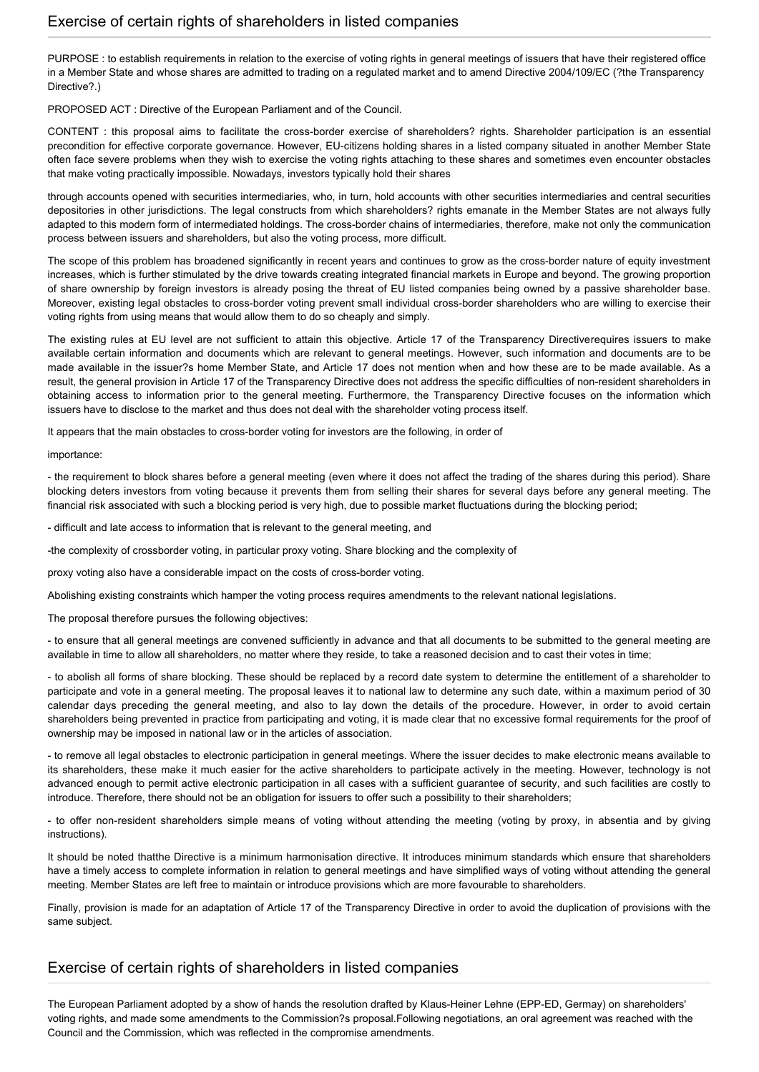PURPOSE : to establish requirements in relation to the exercise of voting rights in general meetings of issuers that have their registered office in a Member State and whose shares are admitted to trading on a regulated market and to amend Directive 2004/109/EC (?the Transparency Directive?.)

PROPOSED ACT : Directive of the European Parliament and of the Council.

CONTENT : this proposal aims to facilitate the cross-border exercise of shareholders? rights. Shareholder participation is an essential precondition for effective corporate governance. However, EU-citizens holding shares in a listed company situated in another Member State often face severe problems when they wish to exercise the voting rights attaching to these shares and sometimes even encounter obstacles that make voting practically impossible. Nowadays, investors typically hold their shares

through accounts opened with securities intermediaries, who, in turn, hold accounts with other securities intermediaries and central securities depositories in other jurisdictions. The legal constructs from which shareholders? rights emanate in the Member States are not always fully adapted to this modern form of intermediated holdings. The cross-border chains of intermediaries, therefore, make not only the communication process between issuers and shareholders, but also the voting process, more difficult.

The scope of this problem has broadened significantly in recent years and continues to grow as the cross-border nature of equity investment increases, which is further stimulated by the drive towards creating integrated financial markets in Europe and beyond. The growing proportion of share ownership by foreign investors is already posing the threat of EU listed companies being owned by a passive shareholder base. Moreover, existing legal obstacles to cross-border voting prevent small individual cross-border shareholders who are willing to exercise their voting rights from using means that would allow them to do so cheaply and simply.

The existing rules at EU level are not sufficient to attain this objective. Article 17 of the Transparency Directiverequires issuers to make available certain information and documents which are relevant to general meetings. However, such information and documents are to be made available in the issuer?s home Member State, and Article 17 does not mention when and how these are to be made available. As a result, the general provision in Article 17 of the Transparency Directive does not address the specific difficulties of non-resident shareholders in obtaining access to information prior to the general meeting. Furthermore, the Transparency Directive focuses on the information which issuers have to disclose to the market and thus does not deal with the shareholder voting process itself.

It appears that the main obstacles to cross-border voting for investors are the following, in order of

importance:

- the requirement to block shares before a general meeting (even where it does not affect the trading of the shares during this period). Share blocking deters investors from voting because it prevents them from selling their shares for several days before any general meeting. The financial risk associated with such a blocking period is very high, due to possible market fluctuations during the blocking period;

- difficult and late access to information that is relevant to the general meeting, and

-the complexity of crossborder voting, in particular proxy voting. Share blocking and the complexity of

proxy voting also have a considerable impact on the costs of cross-border voting.

Abolishing existing constraints which hamper the voting process requires amendments to the relevant national legislations.

The proposal therefore pursues the following objectives:

- to ensure that all general meetings are convened sufficiently in advance and that all documents to be submitted to the general meeting are available in time to allow all shareholders, no matter where they reside, to take a reasoned decision and to cast their votes in time;

- to abolish all forms of share blocking. These should be replaced by a record date system to determine the entitlement of a shareholder to participate and vote in a general meeting. The proposal leaves it to national law to determine any such date, within a maximum period of 30 calendar days preceding the general meeting, and also to lay down the details of the procedure. However, in order to avoid certain shareholders being prevented in practice from participating and voting, it is made clear that no excessive formal requirements for the proof of ownership may be imposed in national law or in the articles of association.

- to remove all legal obstacles to electronic participation in general meetings. Where the issuer decides to make electronic means available to its shareholders, these make it much easier for the active shareholders to participate actively in the meeting. However, technology is not advanced enough to permit active electronic participation in all cases with a sufficient guarantee of security, and such facilities are costly to introduce. Therefore, there should not be an obligation for issuers to offer such a possibility to their shareholders;

- to offer non-resident shareholders simple means of voting without attending the meeting (voting by proxy, in absentia and by giving instructions).

It should be noted thatthe Directive is a minimum harmonisation directive. It introduces minimum standards which ensure that shareholders have a timely access to complete information in relation to general meetings and have simplified ways of voting without attending the general meeting. Member States are left free to maintain or introduce provisions which are more favourable to shareholders.

Finally, provision is made for an adaptation of Article 17 of the Transparency Directive in order to avoid the duplication of provisions with the same subject.

#### Exercise of certain rights of shareholders in listed companies

The European Parliament adopted by a show of hands the resolution drafted by Klaus-Heiner Lehne (EPP-ED, Germay) on shareholders' voting rights, and made some amendments to the Commission?s proposal.Following negotiations, an oral agreement was reached with the Council and the Commission, which was reflected in the compromise amendments.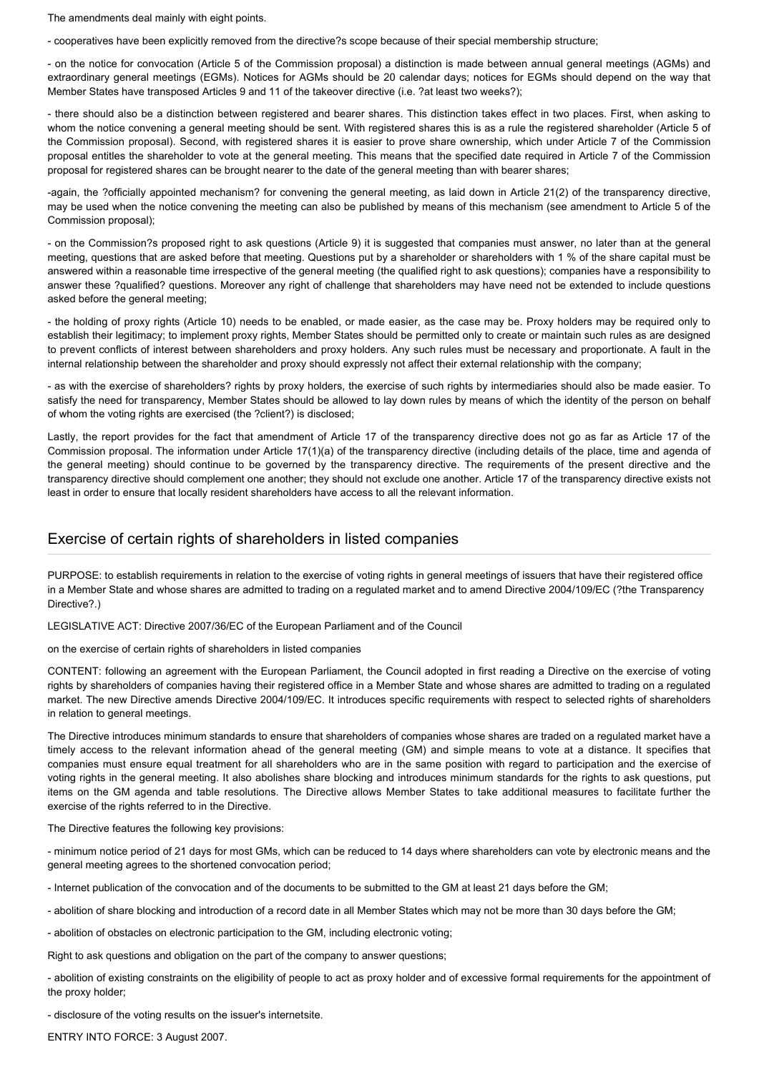The amendments deal mainly with eight points.

- cooperatives have been explicitly removed from the directive?s scope because of their special membership structure;

- on the notice for convocation (Article 5 of the Commission proposal) a distinction is made between annual general meetings (AGMs) and extraordinary general meetings (EGMs). Notices for AGMs should be 20 calendar days; notices for EGMs should depend on the way that Member States have transposed Articles 9 and 11 of the takeover directive (i.e. ?at least two weeks?);

- there should also be a distinction between registered and bearer shares. This distinction takes effect in two places. First, when asking to whom the notice convening a general meeting should be sent. With registered shares this is as a rule the registered shareholder (Article 5 of the Commission proposal). Second, with registered shares it is easier to prove share ownership, which under Article 7 of the Commission proposal entitles the shareholder to vote at the general meeting. This means that the specified date required in Article 7 of the Commission proposal for registered shares can be brought nearer to the date of the general meeting than with bearer shares;

-again, the ?officially appointed mechanism? for convening the general meeting, as laid down in Article 21(2) of the transparency directive, may be used when the notice convening the meeting can also be published by means of this mechanism (see amendment to Article 5 of the Commission proposal);

- on the Commission?s proposed right to ask questions (Article 9) it is suggested that companies must answer, no later than at the general meeting, questions that are asked before that meeting. Questions put by a shareholder or shareholders with 1 % of the share capital must be answered within a reasonable time irrespective of the general meeting (the qualified right to ask questions); companies have a responsibility to answer these ?qualified? questions. Moreover any right of challenge that shareholders may have need not be extended to include questions asked before the general meeting;

- the holding of proxy rights (Article 10) needs to be enabled, or made easier, as the case may be. Proxy holders may be required only to establish their legitimacy; to implement proxy rights, Member States should be permitted only to create or maintain such rules as are designed to prevent conflicts of interest between shareholders and proxy holders. Any such rules must be necessary and proportionate. A fault in the internal relationship between the shareholder and proxy should expressly not affect their external relationship with the company;

- as with the exercise of shareholders? rights by proxy holders, the exercise of such rights by intermediaries should also be made easier. To satisfy the need for transparency, Member States should be allowed to lay down rules by means of which the identity of the person on behalf of whom the voting rights are exercised (the ?client?) is disclosed;

Lastly, the report provides for the fact that amendment of Article 17 of the transparency directive does not go as far as Article 17 of the Commission proposal. The information under Article 17(1)(a) of the transparency directive (including details of the place, time and agenda of the general meeting) should continue to be governed by the transparency directive. The requirements of the present directive and the transparency directive should complement one another; they should not exclude one another. Article 17 of the transparency directive exists not least in order to ensure that locally resident shareholders have access to all the relevant information.

### Exercise of certain rights of shareholders in listed companies

PURPOSE: to establish requirements in relation to the exercise of voting rights in general meetings of issuers that have their registered office in a Member State and whose shares are admitted to trading on a regulated market and to amend Directive 2004/109/EC (?the Transparency Directive?.)

LEGISLATIVE ACT: Directive 2007/36/EC of the European Parliament and of the Council

on the exercise of certain rights of shareholders in listed companies

CONTENT: following an agreement with the European Parliament, the Council adopted in first reading a Directive on the exercise of voting rights by shareholders of companies having their registered office in a Member State and whose shares are admitted to trading on a regulated market. The new Directive amends Directive 2004/109/EC. It introduces specific requirements with respect to selected rights of shareholders in relation to general meetings.

The Directive introduces minimum standards to ensure that shareholders of companies whose shares are traded on a regulated market have a timely access to the relevant information ahead of the general meeting (GM) and simple means to vote at a distance. It specifies that companies must ensure equal treatment for all shareholders who are in the same position with regard to participation and the exercise of voting rights in the general meeting. It also abolishes share blocking and introduces minimum standards for the rights to ask questions, put items on the GM agenda and table resolutions. The Directive allows Member States to take additional measures to facilitate further the exercise of the rights referred to in the Directive.

The Directive features the following key provisions:

- minimum notice period of 21 days for most GMs, which can be reduced to 14 days where shareholders can vote by electronic means and the general meeting agrees to the shortened convocation period;

- Internet publication of the convocation and of the documents to be submitted to the GM at least 21 days before the GM;

- abolition of share blocking and introduction of a record date in all Member States which may not be more than 30 days before the GM;

- abolition of obstacles on electronic participation to the GM, including electronic voting;

Right to ask questions and obligation on the part of the company to answer questions;

- abolition of existing constraints on the eligibility of people to act as proxy holder and of excessive formal requirements for the appointment of the proxy holder;

- disclosure of the voting results on the issuer's internetsite.

ENTRY INTO FORCE: 3 August 2007.